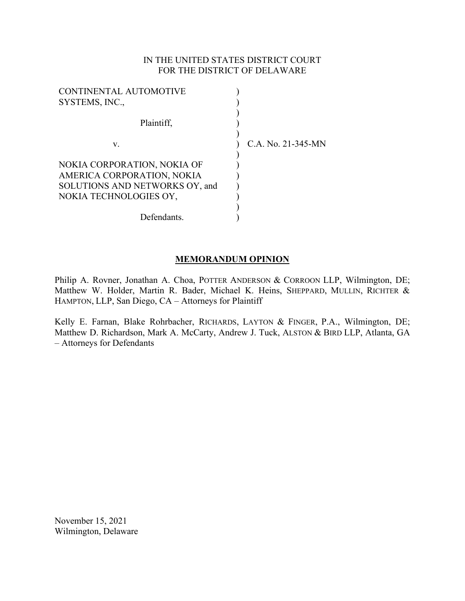## IN THE UNITED STATES DISTRICT COURT FOR THE DISTRICT OF DELAWARE

| <b>CONTINENTAL AUTOMOTIVE</b><br>SYSTEMS, INC.,                                                                       |                    |
|-----------------------------------------------------------------------------------------------------------------------|--------------------|
| Plaintiff,                                                                                                            |                    |
| V.                                                                                                                    | C.A. No. 21-345-MN |
| NOKIA CORPORATION, NOKIA OF<br>AMERICA CORPORATION, NOKIA<br>SOLUTIONS AND NETWORKS OY, and<br>NOKIA TECHNOLOGIES OY, |                    |
| Defendants.                                                                                                           |                    |

# **MEMORANDUM OPINION**

Philip A. Rovner, Jonathan A. Choa, POTTER ANDERSON & CORROON LLP, Wilmington, DE; Matthew W. Holder, Martin R. Bader, Michael K. Heins, SHEPPARD, MULLIN, RICHTER & HAMPTON, LLP, San Diego, CA – Attorneys for Plaintiff

Kelly E. Farnan, Blake Rohrbacher, RICHARDS, LAYTON & FINGER, P.A., Wilmington, DE; Matthew D. Richardson, Mark A. McCarty, Andrew J. Tuck, ALSTON & BIRD LLP, Atlanta, GA – Attorneys for Defendants

November 15, 2021 Wilmington, Delaware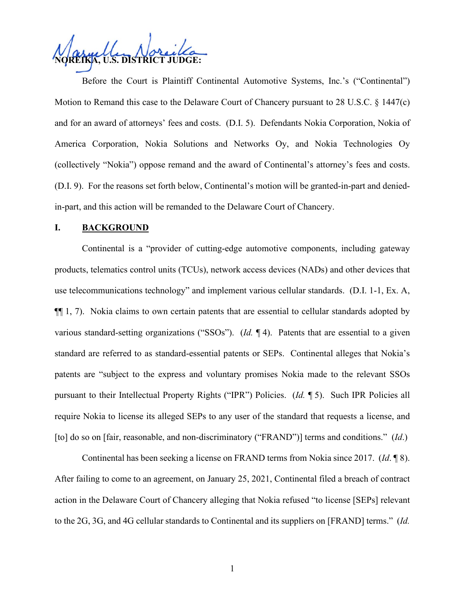**NOREIKA, U.S. DISTRICT JUDGE:**

Before the Court is Plaintiff Continental Automotive Systems, Inc.'s ("Continental") Motion to Remand this case to the Delaware Court of Chancery pursuant to 28 U.S.C. § 1447(c) and for an award of attorneys' fees and costs. (D.I. 5). Defendants Nokia Corporation, Nokia of America Corporation, Nokia Solutions and Networks Oy, and Nokia Technologies Oy (collectively "Nokia") oppose remand and the award of Continental's attorney's fees and costs. (D.I. 9). For the reasons set forth below, Continental's motion will be granted-in-part and deniedin-part, and this action will be remanded to the Delaware Court of Chancery.

### **I. BACKGROUND**

Continental is a "provider of cutting-edge automotive components, including gateway products, telematics control units (TCUs), network access devices (NADs) and other devices that use telecommunications technology" and implement various cellular standards. (D.I. 1-1, Ex. A, ¶¶ 1, 7). Nokia claims to own certain patents that are essential to cellular standards adopted by various standard-setting organizations ("SSOs"). (*Id.* ¶ 4). Patents that are essential to a given standard are referred to as standard-essential patents or SEPs. Continental alleges that Nokia's patents are "subject to the express and voluntary promises Nokia made to the relevant SSOs pursuant to their Intellectual Property Rights ("IPR") Policies. (*Id.* ¶ 5). Such IPR Policies all require Nokia to license its alleged SEPs to any user of the standard that requests a license, and [to] do so on [fair, reasonable, and non-discriminatory ("FRAND")] terms and conditions." (*Id*.)

Continental has been seeking a license on FRAND terms from Nokia since 2017. (*Id*. ¶ 8). After failing to come to an agreement, on January 25, 2021, Continental filed a breach of contract action in the Delaware Court of Chancery alleging that Nokia refused "to license [SEPs] relevant to the 2G, 3G, and 4G cellular standards to Continental and its suppliers on [FRAND] terms." (*Id.*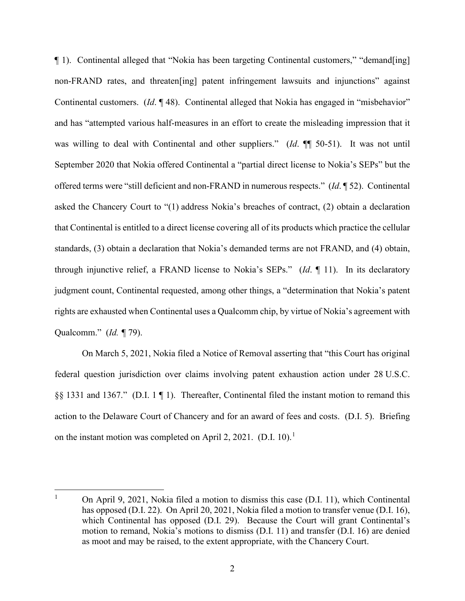¶ 1). Continental alleged that "Nokia has been targeting Continental customers," "demand[ing] non-FRAND rates, and threaten[ing] patent infringement lawsuits and injunctions" against Continental customers. (*Id*. ¶ 48). Continental alleged that Nokia has engaged in "misbehavior" and has "attempted various half-measures in an effort to create the misleading impression that it was willing to deal with Continental and other suppliers." (*Id*. ¶¶ 50-51). It was not until September 2020 that Nokia offered Continental a "partial direct license to Nokia's SEPs" but the offered terms were "still deficient and non-FRAND in numerous respects." (*Id*. ¶ 52). Continental asked the Chancery Court to "(1) address Nokia's breaches of contract, (2) obtain a declaration that Continental is entitled to a direct license covering all of its products which practice the cellular standards, (3) obtain a declaration that Nokia's demanded terms are not FRAND, and (4) obtain, through injunctive relief, a FRAND license to Nokia's SEPs." (*Id*. ¶ 11). In its declaratory judgment count, Continental requested, among other things, a "determination that Nokia's patent rights are exhausted when Continental uses a Qualcomm chip, by virtue of Nokia's agreement with Qualcomm." (*Id. ¶* 79).

On March 5, 2021, Nokia filed a Notice of Removal asserting that "this Court has original federal question jurisdiction over claims involving patent exhaustion action under 28 U.S.C. §§ 1331 and 1367." (D.I. 1 ¶ 1). Thereafter, Continental filed the instant motion to remand this action to the Delaware Court of Chancery and for an award of fees and costs. (D.I. 5). Briefing on the instant motion was completed on April 2, 202[1](#page-2-0). (D.I. 10).<sup>1</sup>

<span id="page-2-0"></span><sup>&</sup>lt;sup>1</sup> On April 9, 2021, Nokia filed a motion to dismiss this case (D.I. 11), which Continental has opposed (D.I. 22). On April 20, 2021, Nokia filed a motion to transfer venue (D.I. 16), which Continental has opposed (D.I. 29). Because the Court will grant Continental's motion to remand, Nokia's motions to dismiss (D.I. 11) and transfer (D.I. 16) are denied as moot and may be raised, to the extent appropriate, with the Chancery Court.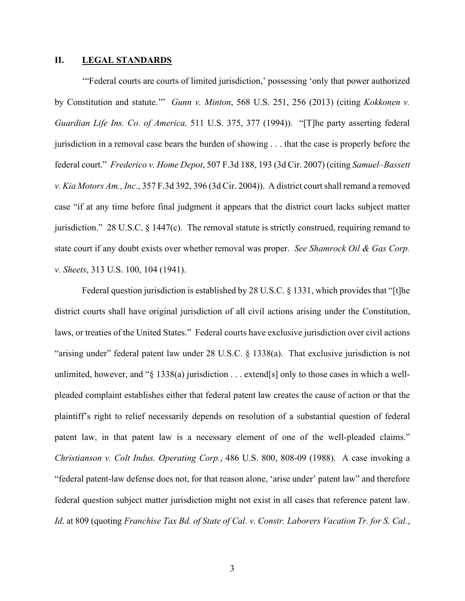#### **II. LEGAL STANDARDS**

'"Federal courts are courts of limited jurisdiction,' possessing 'only that power authorized by Constitution and statute.'" *Gunn v. Minton*, 568 U.S. 251, 256 (2013) (citing *Kokkonen v. Guardian Life Ins. Co. of America,* 511 U.S. 375, 377 (1994)). "[T]he party asserting federal jurisdiction in a removal case bears the burden of showing . . . that the case is properly before the federal court." *Frederico v. Home Depot*, 507 F.3d 188, 193 (3d Cir. 2007) (citing *Samuel–Bassett v. Kia Motors Am., Inc.*, 357 F.3d 392, 396 (3d Cir. 2004)). A district court shall remand a removed case "if at any time before final judgment it appears that the district court lacks subject matter jurisdiction." 28 U.S.C. § 1447(c). The removal statute is strictly construed, requiring remand to state court if any doubt exists over whether removal was proper. *See Shamrock Oil & Gas Corp. v. Sheets*, 313 U.S. 100, 104 (1941).

Federal question jurisdiction is established by 28 U.S.C. § 1331, which provides that "[t]he district courts shall have original jurisdiction of all civil actions arising under the Constitution, laws, or treaties of the United States." Federal courts have exclusive jurisdiction over civil actions "arising under" federal patent law under 28 U.S.C. § 1338(a). That exclusive jurisdiction is not unlimited, however, and " $\S$  1338(a) jurisdiction . . . extend[s] only to those cases in which a wellpleaded complaint establishes either that federal patent law creates the cause of action or that the plaintiff's right to relief necessarily depends on resolution of a substantial question of federal patent law, in that patent law is a necessary element of one of the well-pleaded claims." *Christianson v. Colt Indus. Operating Corp.*, 486 U.S. 800, 808-09 (1988). A case invoking a "federal patent-law defense does not, for that reason alone, 'arise under' patent law" and therefore federal question subject matter jurisdiction might not exist in all cases that reference patent law. *Id*. at 809 (quoting *Franchise Tax Bd. of State of Cal. v. Constr. Laborers Vacation Tr. for S. Cal.*,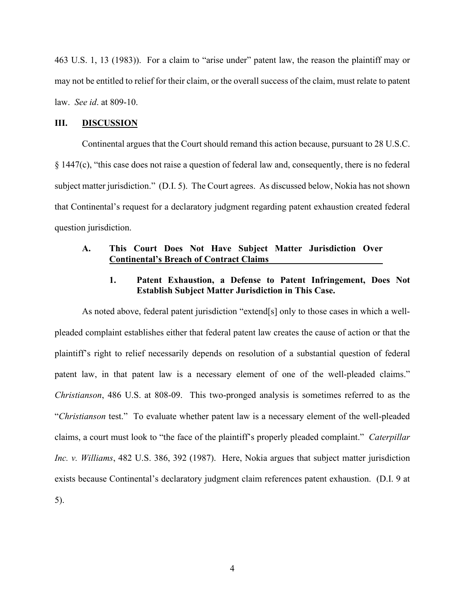463 U.S. 1, 13 (1983)). For a claim to "arise under" patent law, the reason the plaintiff may or may not be entitled to relief for their claim, or the overall success of the claim, must relate to patent law. *See id*. at 809-10.

### **III. DISCUSSION**

Continental argues that the Court should remand this action because, pursuant to 28 U.S.C. § 1447(c), "this case does not raise a question of federal law and, consequently, there is no federal subject matter jurisdiction." (D.I. 5). The Court agrees. As discussed below, Nokia has not shown that Continental's request for a declaratory judgment regarding patent exhaustion created federal question jurisdiction.

## **A. This Court Does Not Have Subject Matter Jurisdiction Over Continental's Breach of Contract Claims**

## **1. Patent Exhaustion, a Defense to Patent Infringement, Does Not Establish Subject Matter Jurisdiction in This Case.**

As noted above, federal patent jurisdiction "extend[s] only to those cases in which a wellpleaded complaint establishes either that federal patent law creates the cause of action or that the plaintiff's right to relief necessarily depends on resolution of a substantial question of federal patent law, in that patent law is a necessary element of one of the well-pleaded claims." *Christianson*, 486 U.S. at 808-09. This two-pronged analysis is sometimes referred to as the "*Christianson* test." To evaluate whether patent law is a necessary element of the well-pleaded claims, a court must look to "the face of the plaintiff's properly pleaded complaint." *Caterpillar Inc. v. Williams*, 482 U.S. 386, 392 (1987). Here, Nokia argues that subject matter jurisdiction exists because Continental's declaratory judgment claim references patent exhaustion. (D.I. 9 at 5).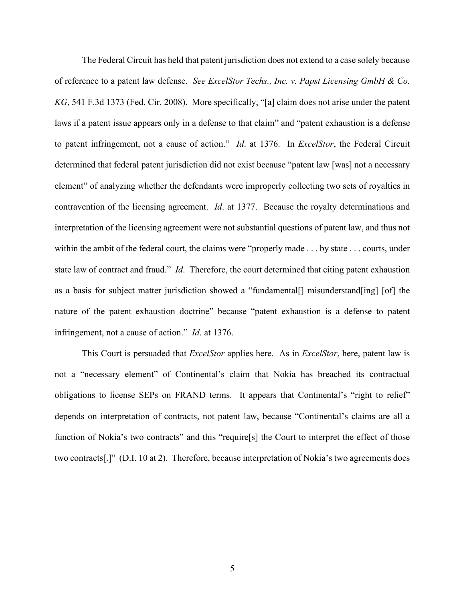The Federal Circuit has held that patent jurisdiction does not extend to a case solely because of reference to a patent law defense. *See ExcelStor Techs., Inc. v. Papst Licensing GmbH & Co. KG*, 541 F.3d 1373 (Fed. Cir. 2008). More specifically, "[a] claim does not arise under the patent laws if a patent issue appears only in a defense to that claim" and "patent exhaustion is a defense to patent infringement, not a cause of action." *Id*. at 1376. In *ExcelStor*, the Federal Circuit determined that federal patent jurisdiction did not exist because "patent law [was] not a necessary element" of analyzing whether the defendants were improperly collecting two sets of royalties in contravention of the licensing agreement. *Id*. at 1377. Because the royalty determinations and interpretation of the licensing agreement were not substantial questions of patent law, and thus not within the ambit of the federal court, the claims were "properly made . . . by state . . . courts, under state law of contract and fraud." *Id*. Therefore, the court determined that citing patent exhaustion as a basis for subject matter jurisdiction showed a "fundamental[] misunderstand[ing] [of] the nature of the patent exhaustion doctrine" because "patent exhaustion is a defense to patent infringement, not a cause of action." *Id*. at 1376.

This Court is persuaded that *ExcelStor* applies here. As in *ExcelStor*, here, patent law is not a "necessary element" of Continental's claim that Nokia has breached its contractual obligations to license SEPs on FRAND terms. It appears that Continental's "right to relief" depends on interpretation of contracts, not patent law, because "Continental's claims are all a function of Nokia's two contracts" and this "require<sup>[s]</sup> the Court to interpret the effect of those two contracts[.]" (D.I. 10 at 2). Therefore, because interpretation of Nokia's two agreements does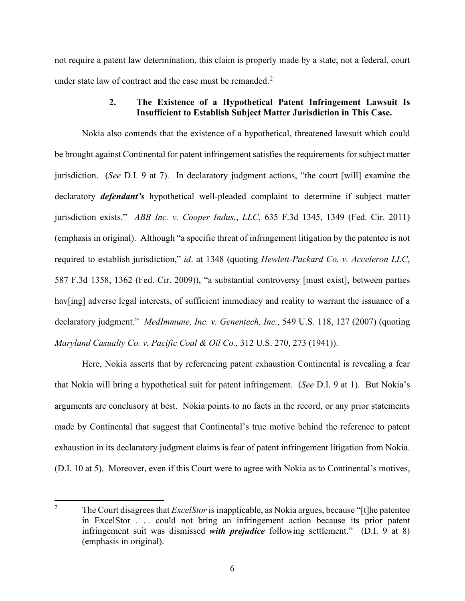not require a patent law determination, this claim is properly made by a state, not a federal, court under state law of contract and the case must be remanded. $2^2$  $2^2$ 

## **2. The Existence of a Hypothetical Patent Infringement Lawsuit Is Insufficient to Establish Subject Matter Jurisdiction in This Case.**

Nokia also contends that the existence of a hypothetical, threatened lawsuit which could be brought against Continental for patent infringement satisfies the requirements for subject matter jurisdiction. (*See* D.I. 9 at 7). In declaratory judgment actions, "the court [will] examine the declaratory *defendant's* hypothetical well-pleaded complaint to determine if subject matter jurisdiction exists." *ABB Inc. v. Cooper Indus.*, *LLC*, 635 F.3d 1345, 1349 (Fed. Cir. 2011) (emphasis in original). Although "a specific threat of infringement litigation by the patentee is not required to establish jurisdiction," *id*. at 1348 (quoting *Hewlett-Packard Co. v. Acceleron LLC*, 587 F.3d 1358, 1362 (Fed. Cir. 2009)), "a substantial controversy [must exist], between parties hav[ing] adverse legal interests, of sufficient immediacy and reality to warrant the issuance of a declaratory judgment." *MedImmune, Inc. v. Genentech, Inc.*, 549 U.S. 118, 127 (2007) (quoting *Maryland Casualty Co. v. Pacific Coal & Oil Co.*, 312 U.S. 270, 273 (1941)).

Here, Nokia asserts that by referencing patent exhaustion Continental is revealing a fear that Nokia will bring a hypothetical suit for patent infringement. (*See* D.I. 9 at 1). But Nokia's arguments are conclusory at best. Nokia points to no facts in the record, or any prior statements made by Continental that suggest that Continental's true motive behind the reference to patent exhaustion in its declaratory judgment claims is fear of patent infringement litigation from Nokia. (D.I. 10 at 5). Moreover, even if this Court were to agree with Nokia as to Continental's motives,

<span id="page-6-0"></span><sup>2</sup> The Court disagrees that *ExcelStor*is inapplicable, as Nokia argues, because "[t]he patentee in ExcelStor . . . could not bring an infringement action because its prior patent infringement suit was dismissed *with prejudice* following settlement." (D.I. 9 at 8) (emphasis in original).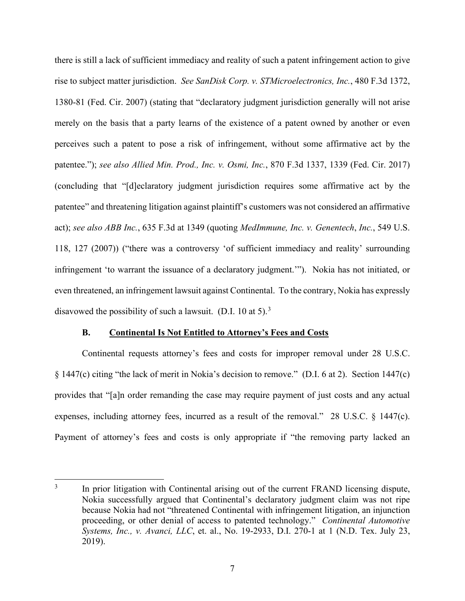there is still a lack of sufficient immediacy and reality of such a patent infringement action to give rise to subject matter jurisdiction. *See SanDisk Corp. v. STMicroelectronics, Inc.*, 480 F.3d 1372, 1380-81 (Fed. Cir. 2007) (stating that "declaratory judgment jurisdiction generally will not arise merely on the basis that a party learns of the existence of a patent owned by another or even perceives such a patent to pose a risk of infringement, without some affirmative act by the patentee."); *see also Allied Min. Prod., Inc. v. Osmi, Inc.*, 870 F.3d 1337, 1339 (Fed. Cir. 2017) (concluding that "[d]eclaratory judgment jurisdiction requires some affirmative act by the patentee" and threatening litigation against plaintiff's customers was not considered an affirmative act); *see also ABB Inc.*, 635 F.3d at 1349 (quoting *MedImmune, Inc. v. Genentech*, *Inc.*, 549 U.S. 118, 127 (2007)) ("there was a controversy 'of sufficient immediacy and reality' surrounding infringement 'to warrant the issuance of a declaratory judgment.'"). Nokia has not initiated, or even threatened, an infringement lawsuit against Continental. To the contrary, Nokia has expressly disavowed the possibility of such a lawsuit. (D.I. 10 at 5).<sup>[3](#page-7-0)</sup>

### **B. Continental Is Not Entitled to Attorney's Fees and Costs**

Continental requests attorney's fees and costs for improper removal under 28 U.S.C. § 1447(c) citing "the lack of merit in Nokia's decision to remove." (D.I. 6 at 2). Section 1447(c) provides that "[a]n order remanding the case may require payment of just costs and any actual expenses, including attorney fees, incurred as a result of the removal." 28 U.S.C. § 1447(c). Payment of attorney's fees and costs is only appropriate if "the removing party lacked an

<span id="page-7-0"></span><sup>&</sup>lt;sup>3</sup> In prior litigation with Continental arising out of the current FRAND licensing dispute, Nokia successfully argued that Continental's declaratory judgment claim was not ripe because Nokia had not "threatened Continental with infringement litigation, an injunction proceeding, or other denial of access to patented technology." *Continental Automotive Systems, Inc., v. Avanci, LLC*, et. al., No. 19-2933, D.I. 270-1 at 1 (N.D. Tex. July 23, 2019).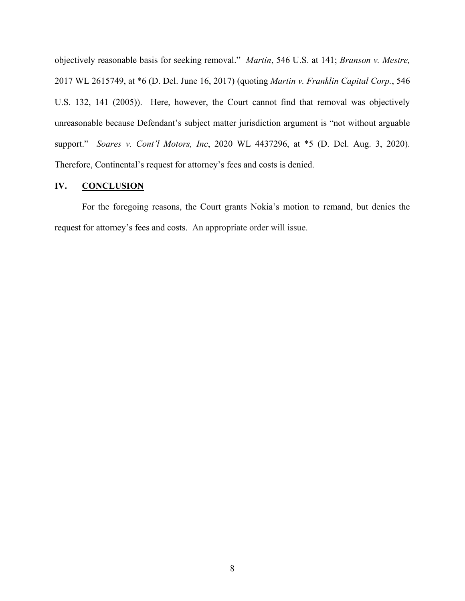objectively reasonable basis for seeking removal." *Martin*, 546 U.S. at 141; *Branson v. Mestre,*  2017 WL 2615749, at \*6 (D. Del. June 16, 2017) (quoting *Martin v. Franklin Capital Corp.*, 546 U.S. 132, 141 (2005)). Here, however, the Court cannot find that removal was objectively unreasonable because Defendant's subject matter jurisdiction argument is "not without arguable support." *Soares v. Cont'l Motors, Inc*, 2020 WL 4437296, at \*5 (D. Del. Aug. 3, 2020). Therefore, Continental's request for attorney's fees and costs is denied.

### **IV. CONCLUSION**

For the foregoing reasons, the Court grants Nokia's motion to remand, but denies the request for attorney's fees and costs. An appropriate order will issue.